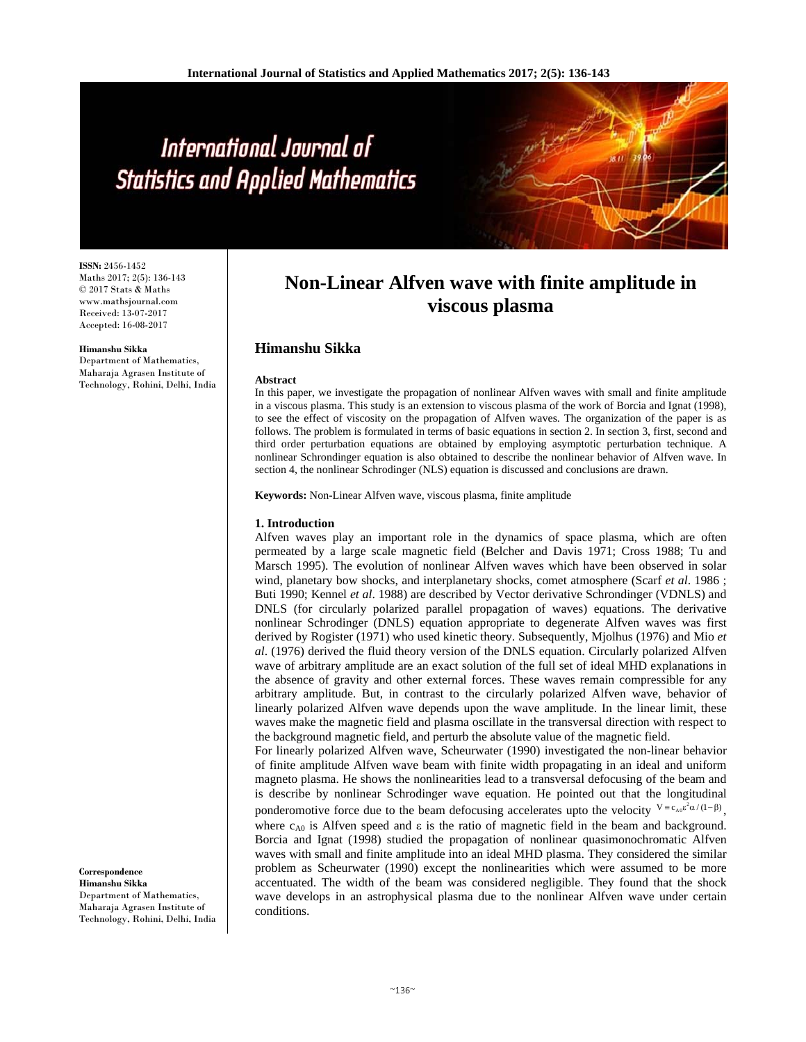**ISSN:** 2456-1452 Maths 2017; 2(5): 136-143 © 2017 Stats & Maths www.mathsjournal.com Received: 13-07-2017 Accepted: 16-08-2017

**Himanshu Sikka** 

Department of Mathematics, Maharaja Agrasen Institute of Technology, Rohini, Delhi, India

## **Non-Linear Alfven wave with finite amplitude in viscous plasma**

### **Himanshu Sikka**

#### **Abstract**

In this paper, we investigate the propagation of nonlinear Alfven waves with small and finite amplitude in a viscous plasma. This study is an extension to viscous plasma of the work of Borcia and Ignat (1998), to see the effect of viscosity on the propagation of Alfven waves. The organization of the paper is as follows. The problem is formulated in terms of basic equations in section 2. In section 3, first, second and third order perturbation equations are obtained by employing asymptotic perturbation technique. A nonlinear Schrondinger equation is also obtained to describe the nonlinear behavior of Alfven wave. In section 4, the nonlinear Schrodinger (NLS) equation is discussed and conclusions are drawn.

**Keywords:** Non-Linear Alfven wave, viscous plasma, finite amplitude

#### **1. Introduction**

Alfven waves play an important role in the dynamics of space plasma, which are often permeated by a large scale magnetic field (Belcher and Davis 1971; Cross 1988; Tu and Marsch 1995). The evolution of nonlinear Alfven waves which have been observed in solar wind, planetary bow shocks, and interplanetary shocks, comet atmosphere (Scarf *et al*. 1986 ; Buti 1990; Kennel *et al*. 1988) are described by Vector derivative Schrondinger (VDNLS) and DNLS (for circularly polarized parallel propagation of waves) equations. The derivative nonlinear Schrodinger (DNLS) equation appropriate to degenerate Alfven waves was first derived by Rogister (1971) who used kinetic theory. Subsequently, Mjolhus (1976) and Mio *et al*. (1976) derived the fluid theory version of the DNLS equation. Circularly polarized Alfven wave of arbitrary amplitude are an exact solution of the full set of ideal MHD explanations in the absence of gravity and other external forces. These waves remain compressible for any arbitrary amplitude. But, in contrast to the circularly polarized Alfven wave, behavior of linearly polarized Alfven wave depends upon the wave amplitude. In the linear limit, these waves make the magnetic field and plasma oscillate in the transversal direction with respect to the background magnetic field, and perturb the absolute value of the magnetic field.

For linearly polarized Alfven wave, Scheurwater (1990) investigated the non-linear behavior of finite amplitude Alfven wave beam with finite width propagating in an ideal and uniform magneto plasma. He shows the nonlinearities lead to a transversal defocusing of the beam and is describe by nonlinear Schrodinger wave equation. He pointed out that the longitudinal ponderomotive force due to the beam defocusing accelerates upto the velocity  $V = c_{A0} \varepsilon^2 \alpha/(1-\beta)$ , where  $c_{A0}$  is Alfven speed and  $\varepsilon$  is the ratio of magnetic field in the beam and background. Borcia and Ignat (1998) studied the propagation of nonlinear quasimonochromatic Alfven waves with small and finite amplitude into an ideal MHD plasma. They considered the similar problem as Scheurwater (1990) except the nonlinearities which were assumed to be more accentuated. The width of the beam was considered negligible. They found that the shock wave develops in an astrophysical plasma due to the nonlinear Alfven wave under certain conditions.

**Correspondence Himanshu Sikka**  Department of Mathematics, Maharaja Agrasen Institute of Technology, Rohini, Delhi, India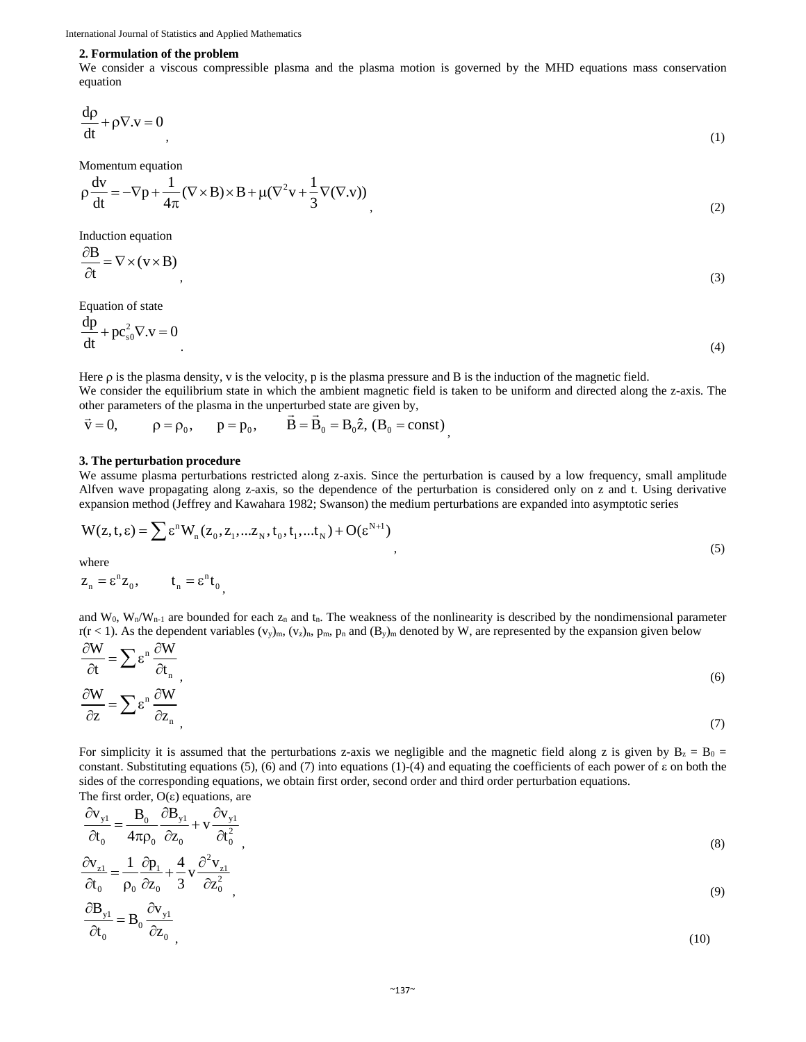#### **2. Formulation of the problem**

We consider a viscous compressible plasma and the plasma motion is governed by the MHD equations mass conservation equation

$$
\frac{d\rho}{dt} + \rho \nabla \cdot \mathbf{v} = 0 \tag{1}
$$

Momentum equation

$$
\rho \frac{dv}{dt} = -\nabla p + \frac{1}{4\pi} (\nabla \times \mathbf{B}) \times \mathbf{B} + \mu (\nabla^2 \mathbf{v} + \frac{1}{3} \nabla (\nabla \mathbf{v}))
$$
\n(2)

Induction equation

$$
\frac{\partial \mathbf{B}}{\partial t} = \nabla \times (\mathbf{v} \times \mathbf{B}) \tag{3}
$$

Equation of state

$$
\frac{dp}{dt} + pc_{s0}^2 \nabla \cdot \mathbf{v} = 0
$$
\n(4)

Here  $\rho$  is the plasma density, v is the velocity, p is the plasma pressure and B is the induction of the magnetic field. We consider the equilibrium state in which the ambient magnetic field is taken to be uniform and directed along the z-axis. The

,

other parameters of the plasma in the unperturbed state are given by,  
\n
$$
\vec{v} = 0
$$
,  $\rho = \rho_0$ ,  $\vec{p} = \vec{p}_0$ ,  $\vec{B} = \vec{B}_0 = B_0 \hat{z}$ ,  $(B_0 = const)$ 

#### **3. The perturbation procedure**

We assume plasma perturbations restricted along z-axis. Since the perturbation is caused by a low frequency, small amplitude Alfven wave propagating along z-axis, so the dependence of the perturbation is considered only on z and t. Using derivative expansion method (Jeffrey and Kawahara 1982; Swanson) the medium perturbations are expanded into asymptotic series

$$
W(z, t, \varepsilon) = \sum \varepsilon^{n} W_{n}(z_0, z_1, \dots z_N, t_0, t_1, \dots, t_N) + O(\varepsilon^{N+1})
$$
\n
$$
y(t, t, \varepsilon) = \sum \varepsilon^{n} W_{n}(z_0, z_1, \dots, z_N, t_0, t_1, \dots, t_N) + O(\varepsilon^{N+1})
$$
\n
$$
(5)
$$

where  

$$
z_n = \varepsilon^n z_0
$$
,  $t_n = \varepsilon^n t_0$ ,

and W<sub>0</sub>, W<sub>n</sub>/W<sub>n-1</sub> are bounded for each  $z_n$  and  $t_n$ . The weakness of the nonlinearity is described by the nondimensional parameter  $r(r < 1)$ . As the dependent variables  $(v_y)_{m}$ ,  $(v_z)_{n}$ ,  $p_m$ ,  $p_n$ , and  $(B_y)_{m}$  denoted by W, are represented by the expansion given below  $\sum$  $\sum_{i=1}^{n}$ 

$$
\frac{\partial W}{\partial t} = \sum \varepsilon^{n} \frac{\partial W}{\partial t_{n}} \frac{\partial W}{\partial z_{n}} \tag{6}
$$

For simplicity it is assumed that the perturbations z-axis we negligible and the magnetic field along z is given by  $B_z = B_0$  = constant. Substituting equations (5), (6) and (7) into equations (1)-(4) and equating the coefficients of each power of  $\varepsilon$  on both the sides of the corresponding equations, we obtain first order, second order and third order perturbation equations.

The first order,  $O(\varepsilon)$  equations, are

$$
\frac{\partial \mathbf{v}_{y1}}{\partial t_0} = \frac{\mathbf{B}_0}{4\pi \rho_0} \frac{\partial \mathbf{B}_{y1}}{\partial z_0} + \mathbf{v} \frac{\partial \mathbf{v}_{y1}}{\partial t_0^2} \frac{\partial \mathbf{F}_{y2}}{\partial t_0} \tag{8}
$$

$$
\frac{\partial \mathbf{v}_{z1}}{\partial t_0} = \frac{1}{\rho_0} \frac{\partial \mathbf{p}_1}{\partial z_0} + \frac{4}{3} \mathbf{v} \frac{\partial^2 \mathbf{v}_{z1}}{\partial z_0^2} \n\frac{\partial \mathbf{B}_{y1}}{\partial t_0} = \mathbf{B}_0 \frac{\partial \mathbf{v}_{y1}}{\partial z_0}.
$$
\n(9)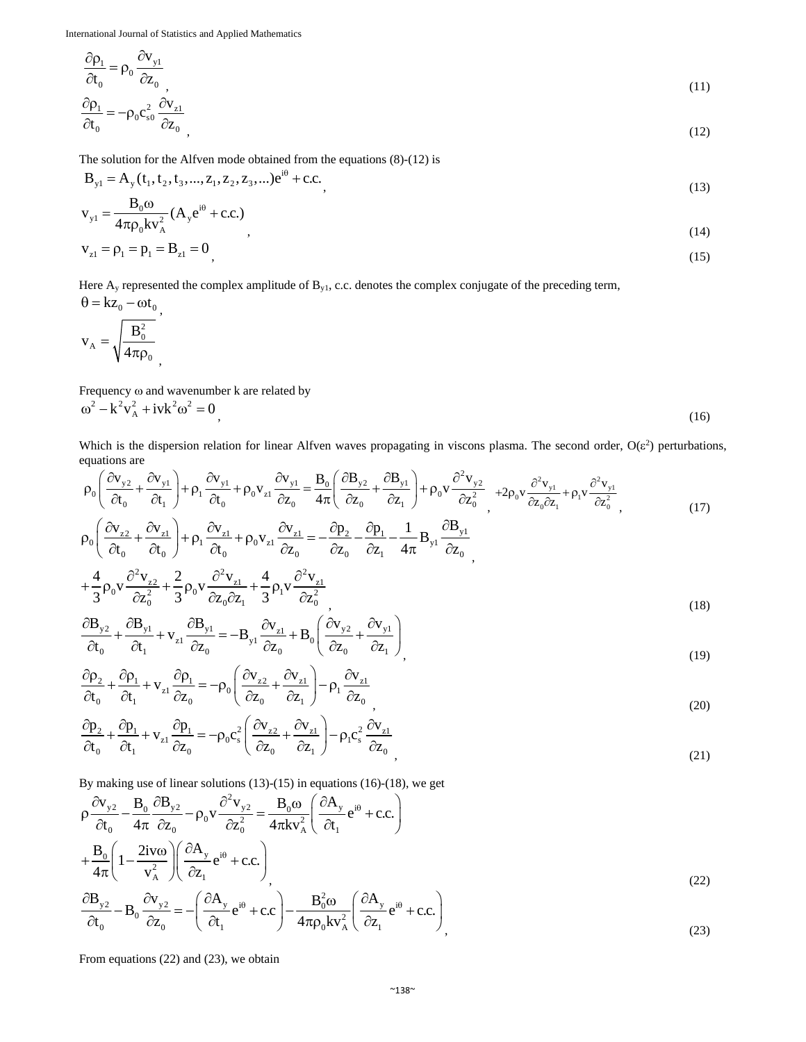$$
\frac{\partial \rho_1}{\partial t_0} = \rho_0 \frac{\partial v_{y1}}{\partial z_0}
$$
\n
$$
\rho_1 = \rho_0 \frac{\partial v_{y1}}{\partial z_0}
$$
\n(11)

$$
\frac{\partial \rho_1}{\partial t_0} = -\rho_0 c_{s0}^2 \frac{\partial v_{z1}}{\partial z_0},\tag{12}
$$

The solution for the Alfven mode obtained from the equations  $(8)-(12)$  is

$$
B_{y1} = A_y(t_1, t_2, t_3, ..., z_1, z_2, z_3, ...)e^{i\theta} + c.c.
$$
\n(13)

$$
v_{y1} = \frac{B_0 \omega}{4\pi \rho_0 k v_A^2} (A_y e^{i\theta} + c.c.)
$$
\n(14)

$$
v_{z1} = \rho_1 = p_1 = B_{z1} = 0
$$
\n(15)

Here A<sub>y</sub> represented the complex amplitude of B<sub>y1</sub>, c.c. denotes the complex conjugate of the preceding term,<br> $\theta = kz$ 

$$
\theta = kz_0 - \omega t_0,
$$
  

$$
v_A = \sqrt{\frac{B_0^2}{4\pi \rho_0}},
$$

Frequency  $\omega$  and wavenumber k are related by  $\omega^2 - k^2 v_A^2 + i v k^2 \omega^2 = 0$  (16)

Which is the dispersion relation for linear Alfven waves propagating in viscons plasma. The second order,  $O(\varepsilon^2)$  perturbations, equations are<br>  $(2x - 3x)$   $2x - 3x$   $2x - 3x$   $2x - 3x$   $2x - 3x$   $2x - 3x$ 

$$
\rho_0 \left( \frac{\partial v_{y2}}{\partial t_0} + \frac{\partial v_{y1}}{\partial t_1} \right) + \rho_1 \frac{\partial v_{y1}}{\partial t_0} + \rho_0 v_{z1} \frac{\partial v_{y1}}{\partial z_0} = \frac{B_0}{4\pi} \left( \frac{\partial B_{y2}}{\partial z_0} + \frac{\partial B_{y1}}{\partial z_1} \right) + \rho_0 v \frac{\partial^2 v_{y2}}{\partial z_0^2} + 2\rho_0 v \frac{\partial^2 v_{y1}}{\partial z_0 \partial z_1} + \rho_1 v \frac{\partial^2 v_{y1}}{\partial z_0^2},
$$
\n
$$
\rho_0 \left( \frac{\partial v_{z2}}{\partial t_0} + \frac{\partial v_{z1}}{\partial t_0} \right) + \rho_1 \frac{\partial v_{z1}}{\partial t_0} + \rho_0 v_{z1} \frac{\partial v_{z1}}{\partial z_0} = -\frac{\partial p_2}{\partial z_0} - \frac{\partial p_1}{\partial z_1} - \frac{1}{4\pi} B_{y1} \frac{\partial B_{y1}}{\partial z_0},
$$
\n
$$
+ \frac{4}{3} \rho_0 v \frac{\partial^2 v_{z2}}{\partial z_0^2} + \frac{2}{3} \rho_0 v \frac{\partial^2 v_{z1}}{\partial z_0 \partial z_1} + \frac{4}{3} \rho_1 v \frac{\partial^2 v_{z1}}{\partial z_0^2},
$$
\n(18)

$$
\frac{\partial \mathbf{B}_{y2}}{\partial t_0} + \frac{\partial \mathbf{B}_{y1}}{\partial t_1} + \mathbf{v}_{z1} \frac{\partial \mathbf{B}_{y1}}{\partial z_0} = -\mathbf{B}_{y1} \frac{\partial \mathbf{v}_{z1}}{\partial z_0} + \mathbf{B}_0 \left( \frac{\partial \mathbf{v}_{y2}}{\partial z_0} + \frac{\partial \mathbf{v}_{y1}}{\partial z_1} \right) \tag{19}
$$

$$
\frac{\partial \rho_2}{\partial t_0} + \frac{\partial \rho_1}{\partial t_1} + \mathbf{v}_{z1} \frac{\partial \rho_1}{\partial z_0} = -\rho_0 \left( \frac{\partial \mathbf{v}_{z2}}{\partial z_0} + \frac{\partial \mathbf{v}_{z1}}{\partial z_1} \right) - \rho_1 \frac{\partial \mathbf{v}_{z1}}{\partial z_0},\tag{20}
$$

$$
\frac{\partial \mathbf{p}_2}{\partial t_0} + \frac{\partial \mathbf{p}_1}{\partial t_1} + \mathbf{v}_{z1} \frac{\partial \mathbf{p}_1}{\partial z_0} = -\rho_0 c_s^2 \left( \frac{\partial \mathbf{v}_{z2}}{\partial z_0} + \frac{\partial \mathbf{v}_{z1}}{\partial z_1} \right) - \rho_1 c_s^2 \frac{\partial \mathbf{v}_{z1}}{\partial z_0}
$$
\n(21)

By making use of linear solutions  $(13)-(15)$  in equations  $(16)-(18)$ , we get

$$
\rho \frac{\partial v_{y2}}{\partial t_0} - \frac{B_0}{4\pi} \frac{\partial B_{y2}}{\partial z_0} - \rho_0 v \frac{\partial^2 v_{y2}}{\partial z_0^2} = \frac{B_0 \omega}{4\pi k v_A^2} \left( \frac{\partial A_y}{\partial t_1} e^{i\theta} + c.c. \right)
$$
\n
$$
+ \frac{B_0}{4\pi} \left( 1 - \frac{2iv\omega}{v_A^2} \right) \left( \frac{\partial A_y}{\partial z_1} e^{i\theta} + c.c. \right)
$$
\n
$$
\frac{\partial B_{y2}}{\partial t_0} - B_0 \frac{\partial v_{y2}}{\partial z_0} = -\left( \frac{\partial A_y}{\partial t_1} e^{i\theta} + c.c. \right) - \frac{B_0^2 \omega}{4\pi \rho_0 k v_A^2} \left( \frac{\partial A_y}{\partial z_1} e^{i\theta} + c.c. \right)
$$
\n(22)

From equations (22) and (23), we obtain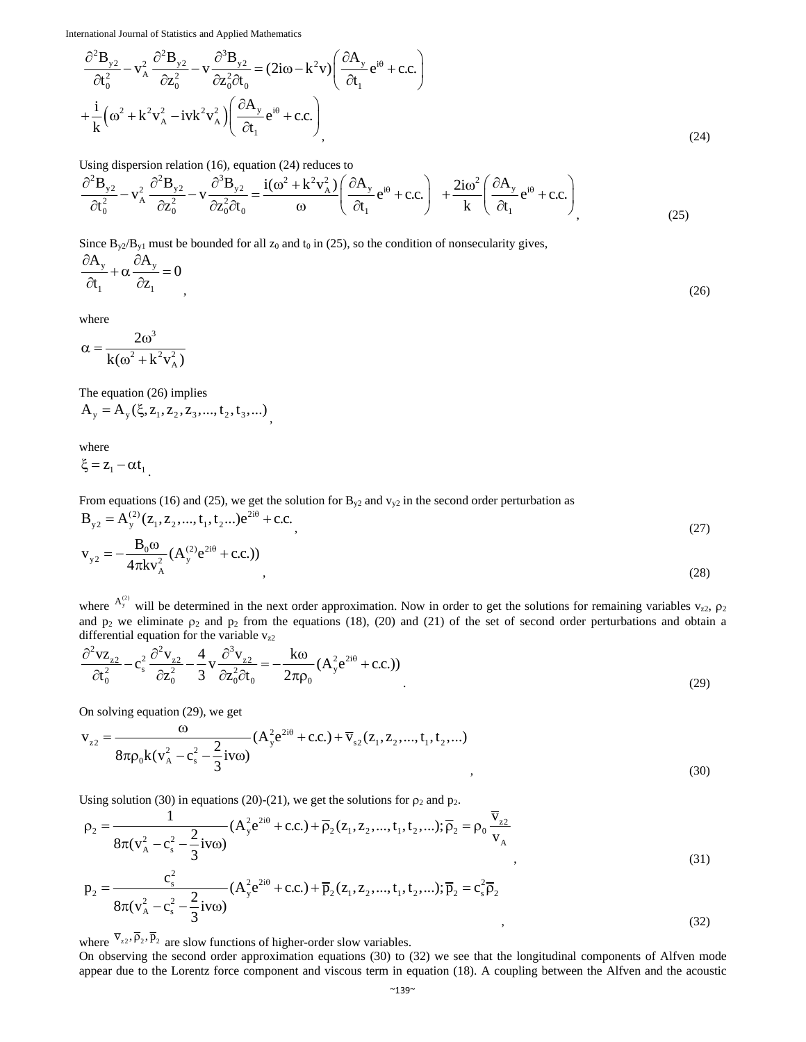$$
\frac{\partial^2 \mathbf{B}_{y2}}{\partial t_0^2} - \mathbf{v}_A^2 \frac{\partial^2 \mathbf{B}_{y2}}{\partial z_0^2} - \mathbf{v} \frac{\partial^3 \mathbf{B}_{y2}}{\partial z_0^2 \partial t_0} = (2i\omega - k^2 \mathbf{v}) \left( \frac{\partial A_y}{\partial t_1} e^{i\theta} + \text{c.c.} \right)
$$
  
+ 
$$
\frac{i}{k} \left( \omega^2 + k^2 \mathbf{v}_A^2 - i \mathbf{v} k^2 \mathbf{v}_A^2 \right) \left( \frac{\partial A_y}{\partial t_1} e^{i\theta} + \text{c.c.} \right)
$$
  
(24)

Using dispersion relation (16), equation (24) reduces to

$$
\frac{\partial^2 \mathbf{B}_{y2}}{\partial t_0^2} - \mathbf{v}_A^2 \frac{\partial^2 \mathbf{B}_{y2}}{\partial z_0^2} - \mathbf{v} \frac{\partial^3 \mathbf{B}_{y2}}{\partial z_0^2 \partial t_0} = \frac{i(\omega^2 + k^2 v_A^2)}{\omega} \left( \frac{\partial A_y}{\partial t_1} e^{i\theta} + c.c. \right) + \frac{2i\omega^2}{k} \left( \frac{\partial A_y}{\partial t_1} e^{i\theta} + c.c. \right)
$$
\n(25)

Since  $B_{y2}/B_{y1}$  must be bounded for all  $z_0$  and  $t_0$  in (25), so the condition of nonsecularity gives,

$$
\frac{\partial A_y}{\partial t_1} + \alpha \frac{\partial A_y}{\partial z_1} = 0
$$
\n(26)

where

$$
\alpha=\frac{2\omega^3}{k(\omega^2+k^2v_{\rm A}^2)}
$$

The equation (26) implies

$$
A_{y} = A_{y}(\xi, z_1, z_2, z_3, ..., t_2, t_3, ...),
$$

where

$$
\xi = z_1 - \alpha t_1
$$

From equations (16) and (25), we get the solution for  $B_{y2}$  and  $v_{y2}$  in the second order perturbation as

$$
B_{y2} = A_{y}^{(2)}(z_1, z_2, ..., t_1, t_2...)e^{2i\theta} + c.c.
$$
  
\n
$$
v_{y2} = -\frac{B_0 \omega}{4\pi k v_A^2} (A_y^{(2)} e^{2i\theta} + c.c.)
$$
  
\n(27)

where  $A_y^{(2)}$  will be determined in the next order approximation. Now in order to get the solutions for remaining variables  $v_{z2}$ ,  $\rho_2$ and  $p_2$  we eliminate  $p_2$  and  $p_2$  from the equations (18), (20) and (21) of the set of second order perturbations and obtain a differential equation for the variable  $v_{z2}$ 

$$
\frac{\partial^2 \mathbf{v} \mathbf{z}_{z2}}{\partial t_0^2} - \mathbf{c}_s^2 \frac{\partial^2 \mathbf{v}_{z2}}{\partial z_0^2} - \frac{4}{3} \mathbf{v} \frac{\partial^3 \mathbf{v}_{z2}}{\partial z_0^2 \partial t_0} = -\frac{\mathbf{k} \omega}{2\pi \rho_0} (\mathbf{A}_y^2 \mathbf{e}^{2\mathbf{i}\theta} + \mathbf{c}.\mathbf{c}.)
$$
\n(29)

On solving equation (29), we get

$$
v_{z2} = \frac{\omega}{8\pi\rho_0 k (v_A^2 - c_s^2 - \frac{2}{3}iv\omega)} (A_y^2 e^{2i\theta} + c.c.) + \overline{v}_{s2}(z_1, z_2, ..., t_1, t_2, ...)
$$
\n(30)

Using solution (30) in equations (20)-(21), we get the solutions for  $\rho_2$  and  $p_2$ .

$$
\rho_2 = \frac{1}{8\pi (v_A^2 - c_s^2 - \frac{2}{3}iv\omega)} (A_y^2 e^{2i\theta} + c.c.) + \overline{\rho}_2(z_1, z_2, ..., t_1, t_2, ...); \overline{\rho}_2 = \rho_0 \frac{\overline{v}_{z2}}{v_A}
$$
\n
$$
p_2 = \frac{c_s^2}{8\pi (v_A^2 - c_s^2 - \frac{2}{3}iv\omega)} (A_y^2 e^{2i\theta} + c.c.) + \overline{p}_2(z_1, z_2, ..., t_1, t_2, ...); \overline{p}_2 = c_s^2 \overline{\rho}_2
$$
\n(31)

where  $\overline{v}_{22}, \overline{p}_2, \overline{p}_2$  are slow functions of higher-order slow variables.

On observing the second order approximation equations (30) to (32) we see that the longitudinal components of Alfven mode appear due to the Lorentz force component and viscous term in equation (18). A coupling between the Alfven and the acoustic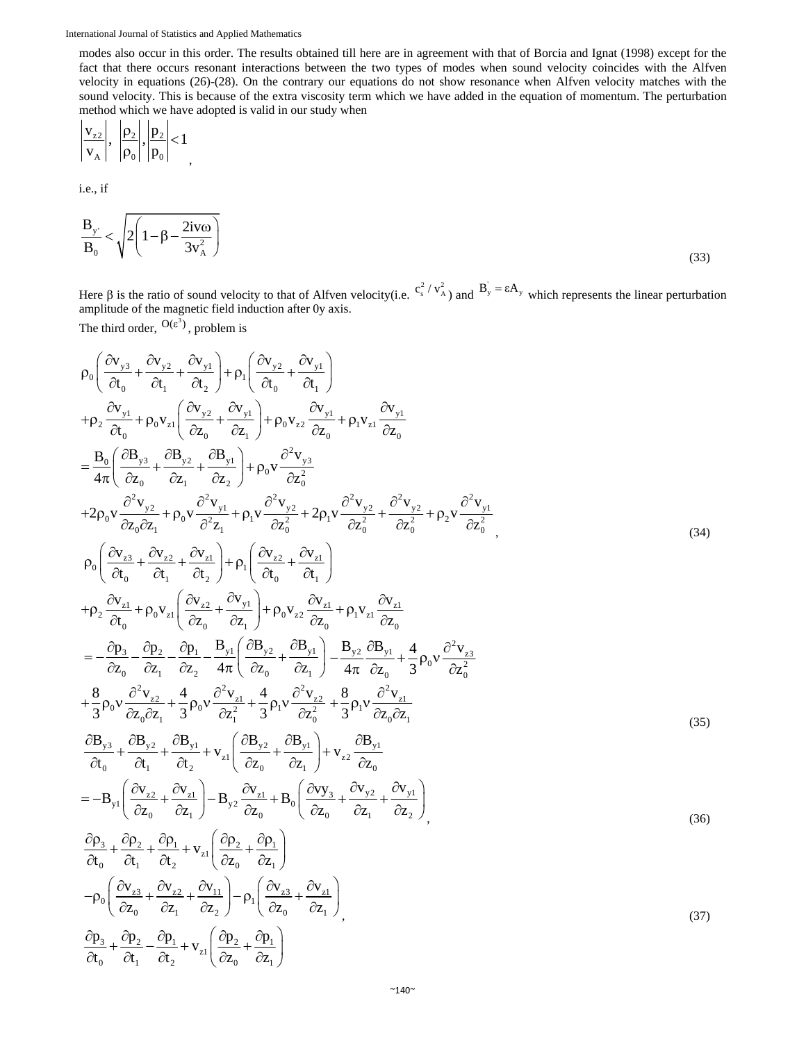modes also occur in this order. The results obtained till here are in agreement with that of Borcia and Ignat (1998) except for the fact that there occurs resonant interactions between the two types of modes when sound velocity coincides with the Alfven velocity in equations (26)-(28). On the contrary our equations do not show resonance when Alfven velocity matches with the sound velocity. This is because of the extra viscosity term which we have added in the equation of momentum. The perturbation method which we have adopted is valid in our study when

$$
\left|\frac{\mathbf{v}_{z2}}{\mathbf{v}_{\mathbf{A}}}\right|, \left|\frac{\mathbf{p}_2}{\mathbf{p}_0}\right|, \left|\frac{\mathbf{p}_2}{\mathbf{p}_0}\right| < 1
$$

i.e., if

$$
\frac{\mathbf{B}_{y'}}{\mathbf{B}_0} < \sqrt{2\left(1 - \beta - \frac{2\mathbf{i}v\omega}{3v_A^2}\right)}
$$
(33)

Here  $\beta$  is the ratio of sound velocity to that of Alfven velocity(i.e.  $c_s^2/v_A^2$ ) and  $B_y = \varepsilon A_y$  which represents the linear perturbation amplitude of the magnetic field induction after 0y axis. The third order,  $O(\varepsilon^3)$ , problem is

$$
\rho_0 \left( \frac{\partial v_{y3}}{\partial t_0} + \frac{\partial v_{y2}}{\partial t_1} + \frac{\partial v_{y1}}{\partial t_2} \right) + \rho_1 \left( \frac{\partial v_{y2}}{\partial t_0} + \frac{\partial v_{y1}}{\partial t_1} \right) \n+ \rho_2 \frac{\partial v_{y1}}{\partial t_0} + \rho_0 v_{x1} \left( \frac{\partial v_{y2}}{\partial z_0} + \frac{\partial v_{y1}}{\partial z_1} \right) + \rho_0 v_{x2} \frac{\partial v_{y1}}{\partial z_0} + \rho_1 v_{x1} \frac{\partial v_{y1}}{\partial z_0} \n= \frac{B_0}{4\pi} \left( \frac{\partial B_{y3}}{\partial z_0} + \frac{\partial B_{y2}}{\partial z_1} + \frac{\partial B_{y1}}{\partial z_2} \right) + \rho_0 v \frac{\partial^2 v_{y3}}{\partial z_0^2} \n+ 2\rho_0 v \frac{\partial^2 v_{y2}}{\partial z_0 \partial z_1} + \rho_0 v \frac{\partial^2 v_{y1}}{\partial z_1} + \rho_1 v \frac{\partial^2 v_{y2}}{\partial z_0^2} + 2\rho_1 v \frac{\partial^2 v_{y2}}{\partial z_0^2} + \frac{\partial^2 v_{y2}}{\partial z_0^2} + \rho_2 v \frac{\partial^2 v_{y1}}{\partial z_0^2} \n+ \rho_2 \frac{\partial v_{x1}}{\partial t_0} + \rho_0 v_{x1} \left( \frac{\partial v_{x2}}{\partial z_0} + \frac{\partial v_{y1}}{\partial z_1} \right) + \rho_1 \left( \frac{\partial v_{x2}}{\partial t_0} + \frac{\partial v_{x1}}{\partial t_1} \right) \n+ \rho_2 \frac{\partial v_{x1}}{\partial t_0} + \rho_0 v_{x1} \left( \frac{\partial v_{x2}}{\partial z_0} + \frac{\partial v_{y1}}{\partial z_1} \right) + \rho_0 v_{x2} \frac{\partial v_{x1}}{\partial z_0} + \rho_1 v_{x1} \frac{\partial v_{x1}}{\partial z_0} \n= -\frac{\partial p_3}{\partial z_0} - \frac{\partial p_2}{\partial z_1} - \frac{\partial p_1}{\partial z_1} - \frac{B_3}{
$$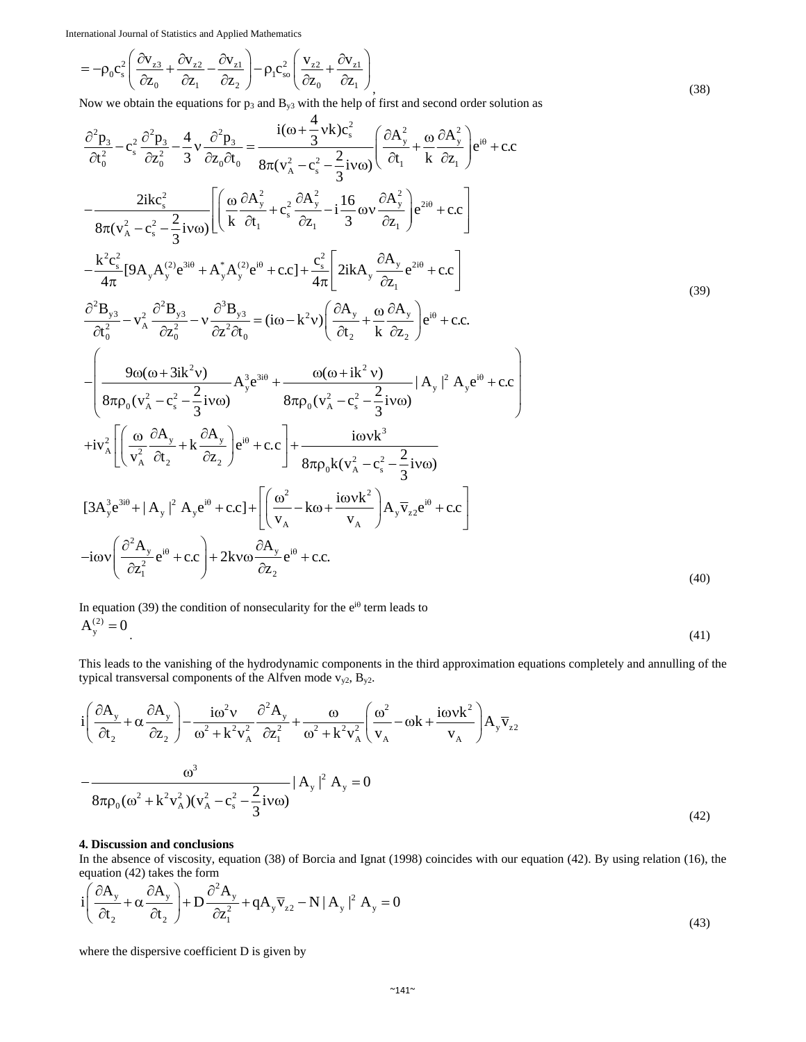$$
= -\rho_0 c_s^2 \left( \frac{\partial v_{z3}}{\partial z_0} + \frac{\partial v_{z2}}{\partial z_1} - \frac{\partial v_{z1}}{\partial z_2} \right) - \rho_1 c_{so}^2 \left( \frac{v_{z2}}{\partial z_0} + \frac{\partial v_{z1}}{\partial z_1} \right)
$$
\n(38)

Now we obtain the equations for  $p_3$  and  $B_{y3}$  with the help of first and second order solution as

$$
\frac{\partial^2 p_3}{\partial t_0^2} - c_s^2 \frac{\partial^2 p_3}{\partial z_0^2} - \frac{4}{3} v \frac{\partial^2 p_3}{\partial z_0 \partial t_0} = \frac{i(\omega + \frac{4}{3} v k)c_s^2}{8\pi (v_A^2 - c_s^2 - \frac{2}{3} i v \omega)} \left( \frac{\partial A_y^2}{\partial t_1} + \frac{\omega}{k} \frac{\partial A_y^2}{\partial z_1} \right) e^{i\theta} + c.c \right. \\
-\frac{2ikc_s^2}{8\pi (v_A^2 - c_s^2 - \frac{2}{3} i v \omega)} \left[ \left( \frac{\omega}{k} \frac{\partial A_y^2}{\partial t_1} + c_s^2 \frac{\partial A_y^2}{\partial z_1} - i \frac{16}{3} \omega v \frac{\partial A_y^2}{\partial z_1} \right) e^{2i\theta} + c.c \right] \\
-\frac{k^2 c_s^2}{4\pi} [9A_y A_y^{(2)} e^{3i\theta} + A_y^* A_y^{(2)} e^{i\theta} + c c] + \frac{c_s^2}{4\pi} \left[ 2ikA_y \frac{\partial A_y}{\partial z_1} e^{2i\theta} + c.c \right] \\
\frac{\partial^2 B_{y3}}{\partial t_0^2} - v_A^2 \frac{\partial^2 B_{y3}}{\partial z_0^2} - v \frac{\partial^3 B_{y3}}{\partial z^2 \partial t_0} = (i\omega - k^2 v) \left( \frac{\partial A_y}{\partial t_2} + \frac{\omega}{k} \frac{\partial A_y}{\partial z_2} \right) e^{i\theta} + c.c \right. \\
-\frac{\theta \omega (\omega + 3ik^2 v)}{8\pi \rho_0 (v_A^2 - c_s^2 - \frac{2}{3} i v \omega)} |A_y|^2 |A_y e^{i\theta} + c.c \right) \\
+i v_A^2 \left[ \left( \frac{\omega}{v_A^2} \frac{\partial A_y}{\partial t_2} + k \frac{\partial A_y}{\partial z_2} \right) e^{i\theta} + c.c \right] + \frac{i\omega v k^3}{8\pi \rho_0 (v_A^2 - c_s^2 - \frac{2}{3} i v \omega)} \\
[3A_y^3 e^{3i\theta} + |A_y|^2 |A_y e^{i\theta} + c.c] + \left[ \left( \frac{\omega^2}{v_A} - k
$$

In equation (39) the condition of nonsecularity for the  $e^{i\theta}$  term leads to  $A_y^{(2)} = 0$  (41)

This leads to the vanishing of the hydrodynamic components in the third approximation equations completely and annulling of the typical transversal components of the Alfven mode  $v_{y2}$ ,  $B_{y2}$ .

$$
i\left(\frac{\partial A_y}{\partial t_2} + \alpha \frac{\partial A_y}{\partial z_2}\right) - \frac{i\omega^2 v}{\omega^2 + k^2 v_A^2} \frac{\partial^2 A_y}{\partial z_1^2} + \frac{\omega}{\omega^2 + k^2 v_A^2} \left(\frac{\omega^2}{v_A} - \omega k + \frac{i\omega v k^2}{v_A}\right) A_y \overline{v}_{z2}
$$

$$
-\frac{\omega^3}{8\pi \rho_0 (\omega^2 + k^2 v_A^2) (v_A^2 - c_s^2 - \frac{2}{3} i v \omega)} |A_y|^2 A_y = 0
$$
(42)

#### **4. Discussion and conclusions**

In the absence of viscosity, equation (38) of Borcia and Ignat (1998) coincides with our equation (42). By using relation (16), the equation  $(42)$  takes the form

$$
i\left(\frac{\partial A_y}{\partial t_2} + \alpha \frac{\partial A_y}{\partial t_2}\right) + D \frac{\partial^2 A_y}{\partial z_1^2} + qA_y \overline{v}_{z2} - N |A_y|^2 A_y = 0
$$
\n(43)

where the dispersive coefficient D is given by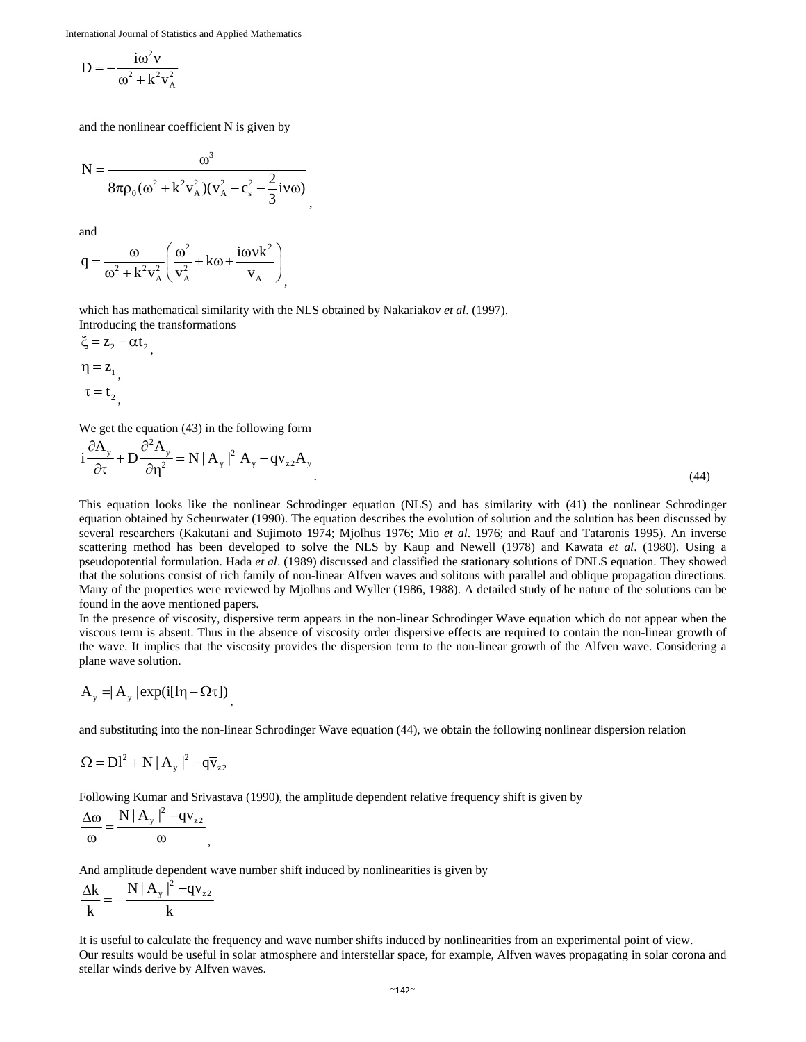$$
D = -\frac{i\omega^2 v}{\omega^2 + k^2 v_A^2}
$$

and the nonlinear coefficient N is given by

$$
N = \frac{\omega^3}{8\pi\rho_0(\omega^2 + k^2v_A^2)(v_A^2 - c_s^2 - \frac{2}{3}iv\omega)},
$$

and

$$
q = \frac{\omega}{\omega^2 + k^2 v_A^2} \left( \frac{\omega^2}{v_A^2} + k\omega + \frac{i\omega v k^2}{v_A} \right)_1
$$

which has mathematical similarity with the NLS obtained by Nakariakov *et al*. (1997). Introducing the transformations

$$
\xi = z_2 - \alpha t_2, \n\eta = z_1, \n\tau = t_2,
$$

We get the equation  $(43)$  in the following form

$$
i\frac{\partial A_y}{\partial \tau} + D \frac{\partial^2 A_y}{\partial \eta^2} = N |A_y|^2 A_y - qv_{z2}A_y
$$
\n(44)

This equation looks like the nonlinear Schrodinger equation (NLS) and has similarity with (41) the nonlinear Schrodinger equation obtained by Scheurwater (1990). The equation describes the evolution of solution and the solution has been discussed by several researchers (Kakutani and Sujimoto 1974; Mjolhus 1976; Mio *et al*. 1976; and Rauf and Tataronis 1995). An inverse scattering method has been developed to solve the NLS by Kaup and Newell (1978) and Kawata *et al*. (1980). Using a pseudopotential formulation. Hada *et al*. (1989) discussed and classified the stationary solutions of DNLS equation. They showed that the solutions consist of rich family of non-linear Alfven waves and solitons with parallel and oblique propagation directions. Many of the properties were reviewed by Mjolhus and Wyller (1986, 1988). A detailed study of he nature of the solutions can be found in the aove mentioned papers.

In the presence of viscosity, dispersive term appears in the non-linear Schrodinger Wave equation which do not appear when the viscous term is absent. Thus in the absence of viscosity order dispersive effects are required to contain the non-linear growth of the wave. It implies that the viscosity provides the dispersion term to the non-linear growth of the Alfven wave. Considering a plane wave solution.

$$
A_{y} = | A_{y} | \exp(i[ln - \Omega \tau])
$$

and substituting into the non-linear Schrodinger Wave equation (44), we obtain the following nonlinear dispersion relation

$$
\Omega = Dl^2 + N |A_y|^2 - q\overline{v}_{z2}
$$

Following Kumar and Srivastava (1990), the amplitude dependent relative frequency shift is given by 2

$$
\frac{\Delta \omega}{\omega} = \frac{N |A_{y}|^2 - q\overline{v}_{z2}}{\omega},
$$

And amplitude dependent wave number shift induced by nonlinearities is given by

$$
\frac{\Delta k}{k} = -\frac{N |A_y|^2 - q\overline{v}_{z2}}{k}
$$

It is useful to calculate the frequency and wave number shifts induced by nonlinearities from an experimental point of view. Our results would be useful in solar atmosphere and interstellar space, for example, Alfven waves propagating in solar corona and stellar winds derive by Alfven waves.